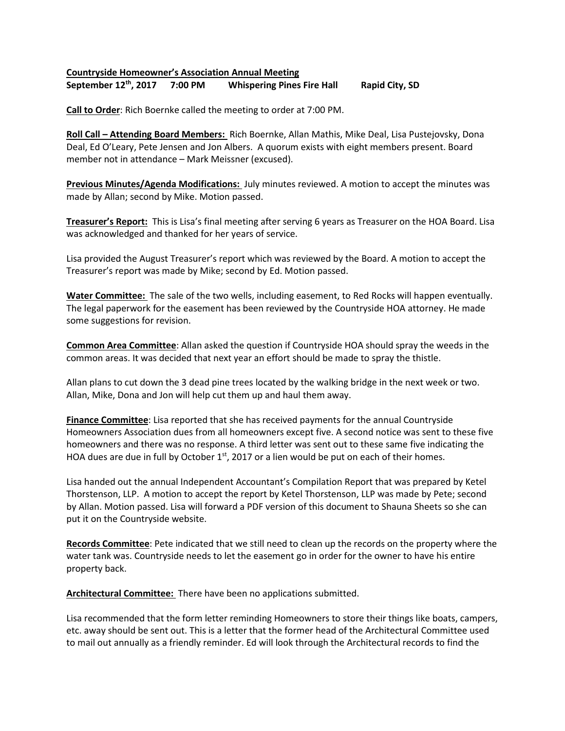## **Countryside Homeowner's Association Annual Meeting**

**September 12th, 2017 7:00 PM Whispering Pines Fire Hall Rapid City, SD**

**Call to Order**: Rich Boernke called the meeting to order at 7:00 PM.

**Roll Call – Attending Board Members:** Rich Boernke, Allan Mathis, Mike Deal, Lisa Pustejovsky, Dona Deal, Ed O'Leary, Pete Jensen and Jon Albers. A quorum exists with eight members present. Board member not in attendance – Mark Meissner (excused).

**Previous Minutes/Agenda Modifications:** July minutes reviewed. A motion to accept the minutes was made by Allan; second by Mike. Motion passed.

**Treasurer's Report:** This is Lisa's final meeting after serving 6 years as Treasurer on the HOA Board. Lisa was acknowledged and thanked for her years of service.

Lisa provided the August Treasurer's report which was reviewed by the Board. A motion to accept the Treasurer's report was made by Mike; second by Ed. Motion passed.

**Water Committee:** The sale of the two wells, including easement, to Red Rocks will happen eventually. The legal paperwork for the easement has been reviewed by the Countryside HOA attorney. He made some suggestions for revision.

**Common Area Committee**: Allan asked the question if Countryside HOA should spray the weeds in the common areas. It was decided that next year an effort should be made to spray the thistle.

Allan plans to cut down the 3 dead pine trees located by the walking bridge in the next week or two. Allan, Mike, Dona and Jon will help cut them up and haul them away.

**Finance Committee**: Lisa reported that she has received payments for the annual Countryside Homeowners Association dues from all homeowners except five. A second notice was sent to these five homeowners and there was no response. A third letter was sent out to these same five indicating the HOA dues are due in full by October  $1<sup>st</sup>$ , 2017 or a lien would be put on each of their homes.

Lisa handed out the annual Independent Accountant's Compilation Report that was prepared by Ketel Thorstenson, LLP. A motion to accept the report by Ketel Thorstenson, LLP was made by Pete; second by Allan. Motion passed. Lisa will forward a PDF version of this document to Shauna Sheets so she can put it on the Countryside website.

**Records Committee**: Pete indicated that we still need to clean up the records on the property where the water tank was. Countryside needs to let the easement go in order for the owner to have his entire property back.

**Architectural Committee:** There have been no applications submitted.

Lisa recommended that the form letter reminding Homeowners to store their things like boats, campers, etc. away should be sent out. This is a letter that the former head of the Architectural Committee used to mail out annually as a friendly reminder. Ed will look through the Architectural records to find the